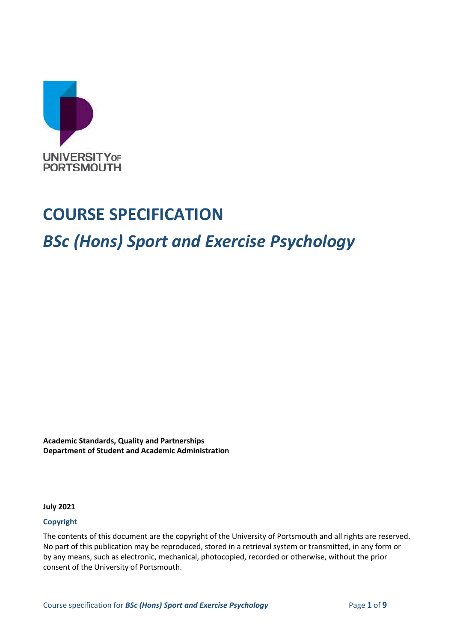

# **COURSE SPECIFICATION**

# *BSc (Hons) Sport and Exercise Psychology*

**Academic Standards, Quality and Partnerships Department of Student and Academic Administration**

**July 2021**

#### **Copyright**

The contents of this document are the copyright of the University of Portsmouth and all rights are reserved. No part of this publication may be reproduced, stored in a retrieval system or transmitted, in any form or by any means, such as electronic, mechanical, photocopied, recorded or otherwise, without the prior consent of the University of Portsmouth.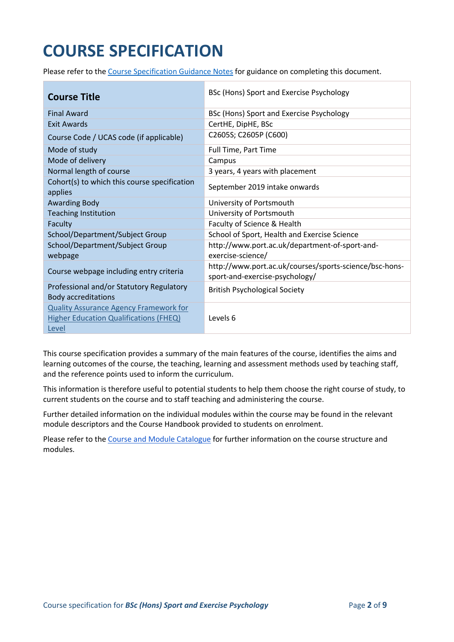# **COURSE SPECIFICATION**

Please refer to the [Course Specification Guidance Notes](http://www.port.ac.uk/departments/services/academicregistry/qmd/curriculum-framework-2019-20/filetodownload,201767,en.docx) for guidance on completing this document.

| <b>Course Title</b>                                                                                     | BSc (Hons) Sport and Exercise Psychology                                                 |
|---------------------------------------------------------------------------------------------------------|------------------------------------------------------------------------------------------|
| <b>Final Award</b>                                                                                      | BSc (Hons) Sport and Exercise Psychology                                                 |
| <b>Exit Awards</b>                                                                                      | CertHE, DipHE, BSc                                                                       |
| Course Code / UCAS code (if applicable)                                                                 | C2605S; C2605P (C600)                                                                    |
| Mode of study                                                                                           | Full Time, Part Time                                                                     |
| Mode of delivery                                                                                        | Campus                                                                                   |
| Normal length of course                                                                                 | 3 years, 4 years with placement                                                          |
| Cohort(s) to which this course specification<br>applies                                                 | September 2019 intake onwards                                                            |
| <b>Awarding Body</b>                                                                                    | University of Portsmouth                                                                 |
| <b>Teaching Institution</b>                                                                             | University of Portsmouth                                                                 |
| Faculty                                                                                                 | Faculty of Science & Health                                                              |
| School/Department/Subject Group                                                                         | School of Sport, Health and Exercise Science                                             |
| School/Department/Subject Group<br>webpage                                                              | http://www.port.ac.uk/department-of-sport-and-<br>exercise-science/                      |
| Course webpage including entry criteria                                                                 | http://www.port.ac.uk/courses/sports-science/bsc-hons-<br>sport-and-exercise-psychology/ |
| Professional and/or Statutory Regulatory<br><b>Body accreditations</b>                                  | <b>British Psychological Society</b>                                                     |
| <b>Quality Assurance Agency Framework for</b><br><b>Higher Education Qualifications (FHEQ)</b><br>Level | Levels 6                                                                                 |

This course specification provides a summary of the main features of the course, identifies the aims and learning outcomes of the course, the teaching, learning and assessment methods used by teaching staff, and the reference points used to inform the curriculum.

This information is therefore useful to potential students to help them choose the right course of study, to current students on the course and to staff teaching and administering the course.

Further detailed information on the individual modules within the course may be found in the relevant module descriptors and the Course Handbook provided to students on enrolment.

Please refer to the [Course and Module Catalogue](https://course-module-catalog.port.ac.uk/#/welcome) for further information on the course structure and modules.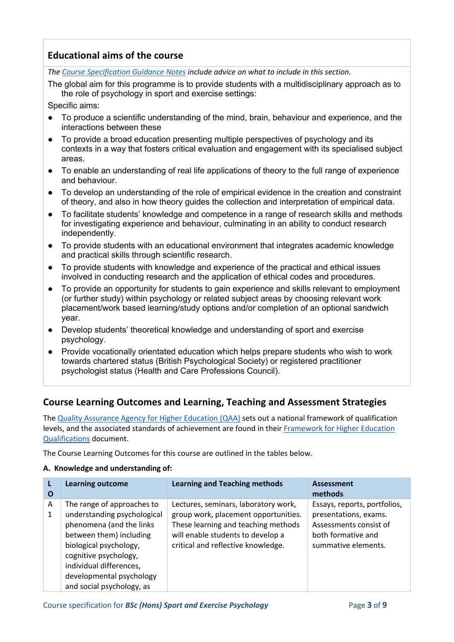## **Educational aims of the course**

*The [Course Specification Guidance Notes](http://www.port.ac.uk/departments/services/academicregistry/qmd/curriculum-framework-2019-20/filetodownload,201767,en.docx) include advice on what to include in this section.*

The global aim for this programme is to provide students with a multidisciplinary approach as to the role of psychology in sport and exercise settings:

Specific aims:

- To produce a scientific understanding of the mind, brain, behaviour and experience, and the interactions between these
- To provide a broad education presenting multiple perspectives of psychology and its contexts in a way that fosters critical evaluation and engagement with its specialised subject areas.
- To enable an understanding of real life applications of theory to the full range of experience and behaviour.
- To develop an understanding of the role of empirical evidence in the creation and constraint of theory, and also in how theory guides the collection and interpretation of empirical data.
- To facilitate students' knowledge and competence in a range of research skills and methods for investigating experience and behaviour, culminating in an ability to conduct research independently.
- To provide students with an educational environment that integrates academic knowledge and practical skills through scientific research.
- To provide students with knowledge and experience of the practical and ethical issues involved in conducting research and the application of ethical codes and procedures.
- To provide an opportunity for students to gain experience and skills relevant to employment (or further study) within psychology or related subject areas by choosing relevant work placement/work based learning/study options and/or completion of an optional sandwich year.
- Develop students' theoretical knowledge and understanding of sport and exercise psychology.
- Provide vocationally orientated education which helps prepare students who wish to work towards chartered status (British Psychological Society) or registered practitioner psychologist status (Health and Care Professions Council).

#### **Course Learning Outcomes and Learning, Teaching and Assessment Strategies**

The [Quality Assurance Agency for Higher Education \(QAA\)](http://www.qaa.ac.uk/en) sets out a national framework of qualification levels, and the associated standards of achievement are found in their [Framework for Higher Education](https://www.qaa.ac.uk/quality-code/higher-education-credit-framework-for-england)  [Qualifications](https://www.qaa.ac.uk/quality-code/higher-education-credit-framework-for-england) document.

The Course Learning Outcomes for this course are outlined in the tables below.

#### **A. Knowledge and understanding of:**

| O | <b>Learning outcome</b>     | <b>Learning and Teaching methods</b> | <b>Assessment</b><br>methods |
|---|-----------------------------|--------------------------------------|------------------------------|
| A | The range of approaches to  | Lectures, seminars, laboratory work, | Essays, reports, portfolios, |
| 1 | understanding psychological | group work, placement opportunities. | presentations, exams.        |
|   | phenomena (and the links    | These learning and teaching methods  | Assessments consist of       |
|   | between them) including     | will enable students to develop a    | both formative and           |
|   | biological psychology,      | critical and reflective knowledge.   | summative elements.          |
|   | cognitive psychology,       |                                      |                              |
|   | individual differences,     |                                      |                              |
|   | developmental psychology    |                                      |                              |
|   | and social psychology, as   |                                      |                              |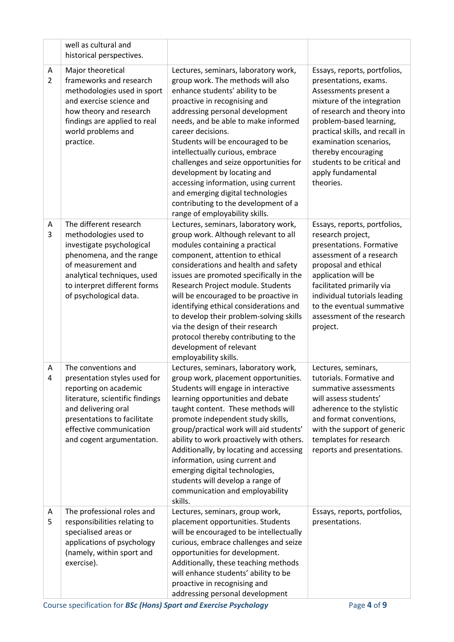|                     | well as cultural and<br>historical perspectives.                                                                                                                                                                              |                                                                                                                                                                                                                                                                                                                                                                                                                                                                                                                                                     |                                                                                                                                                                                                                                                                                                                             |
|---------------------|-------------------------------------------------------------------------------------------------------------------------------------------------------------------------------------------------------------------------------|-----------------------------------------------------------------------------------------------------------------------------------------------------------------------------------------------------------------------------------------------------------------------------------------------------------------------------------------------------------------------------------------------------------------------------------------------------------------------------------------------------------------------------------------------------|-----------------------------------------------------------------------------------------------------------------------------------------------------------------------------------------------------------------------------------------------------------------------------------------------------------------------------|
| A<br>$\overline{2}$ | Major theoretical<br>frameworks and research<br>methodologies used in sport<br>and exercise science and<br>how theory and research<br>findings are applied to real<br>world problems and<br>practice.                         | Lectures, seminars, laboratory work,<br>group work. The methods will also<br>enhance students' ability to be<br>proactive in recognising and<br>addressing personal development<br>needs, and be able to make informed<br>career decisions.<br>Students will be encouraged to be<br>intellectually curious, embrace<br>challenges and seize opportunities for<br>development by locating and<br>accessing information, using current<br>and emerging digital technologies<br>contributing to the development of a<br>range of employability skills. | Essays, reports, portfolios,<br>presentations, exams.<br>Assessments present a<br>mixture of the integration<br>of research and theory into<br>problem-based learning,<br>practical skills, and recall in<br>examination scenarios,<br>thereby encouraging<br>students to be critical and<br>apply fundamental<br>theories. |
| A<br>3              | The different research<br>methodologies used to<br>investigate psychological<br>phenomena, and the range<br>of measurement and<br>analytical techniques, used<br>to interpret different forms<br>of psychological data.       | Lectures, seminars, laboratory work,<br>group work. Although relevant to all<br>modules containing a practical<br>component, attention to ethical<br>considerations and health and safety<br>issues are promoted specifically in the<br>Research Project module. Students<br>will be encouraged to be proactive in<br>identifying ethical considerations and<br>to develop their problem-solving skills<br>via the design of their research<br>protocol thereby contributing to the<br>development of relevant<br>employability skills.             | Essays, reports, portfolios,<br>research project,<br>presentations. Formative<br>assessment of a research<br>proposal and ethical<br>application will be<br>facilitated primarily via<br>individual tutorials leading<br>to the eventual summative<br>assessment of the research<br>project.                                |
| A<br>4              | The conventions and<br>presentation styles used for<br>reporting on academic<br>literature, scientific findings<br>and delivering oral<br>presentations to facilitate<br>effective communication<br>and cogent argumentation. | Lectures, seminars, laboratory work,<br>group work, placement opportunities.<br>Students will engage in interactive<br>learning opportunities and debate<br>taught content. These methods will<br>promote independent study skills,<br>group/practical work will aid students'<br>ability to work proactively with others.<br>Additionally, by locating and accessing<br>information, using current and<br>emerging digital technologies,<br>students will develop a range of<br>communication and employability<br>skills.                         | Lectures, seminars,<br>tutorials. Formative and<br>summative assessments<br>will assess students'<br>adherence to the stylistic<br>and format conventions,<br>with the support of generic<br>templates for research<br>reports and presentations.                                                                           |
| A<br>5              | The professional roles and<br>responsibilities relating to<br>specialised areas or<br>applications of psychology<br>(namely, within sport and<br>exercise).                                                                   | Lectures, seminars, group work,<br>placement opportunities. Students<br>will be encouraged to be intellectually<br>curious, embrace challenges and seize<br>opportunities for development.<br>Additionally, these teaching methods<br>will enhance students' ability to be<br>proactive in recognising and<br>addressing personal development                                                                                                                                                                                                       | Essays, reports, portfolios,<br>presentations.                                                                                                                                                                                                                                                                              |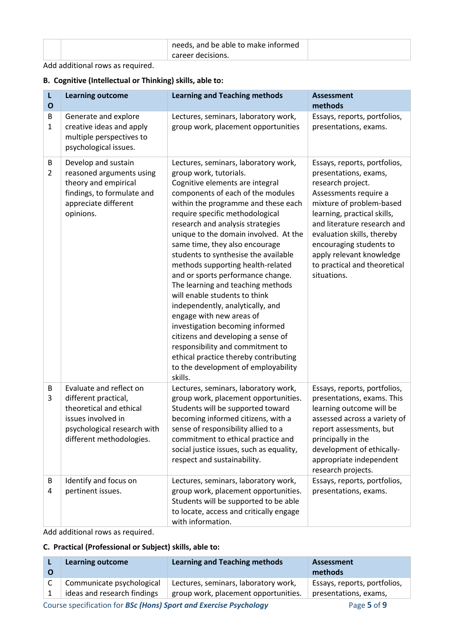| needs, and be able to make informed |  |
|-------------------------------------|--|
| career decisions.                   |  |

#### Add additional rows as required.

#### **B. Cognitive (Intellectual or Thinking) skills, able to:**

| L<br>$\mathbf{o}$   | <b>Learning outcome</b>                                                                                                                                     | <b>Learning and Teaching methods</b>                                                                                                                                                                                                                                                                                                                                                                                                                                                                                                                                                                                                                                                                                                                                                            | <b>Assessment</b><br>methods                                                                                                                                                                                                                                                                                                      |
|---------------------|-------------------------------------------------------------------------------------------------------------------------------------------------------------|-------------------------------------------------------------------------------------------------------------------------------------------------------------------------------------------------------------------------------------------------------------------------------------------------------------------------------------------------------------------------------------------------------------------------------------------------------------------------------------------------------------------------------------------------------------------------------------------------------------------------------------------------------------------------------------------------------------------------------------------------------------------------------------------------|-----------------------------------------------------------------------------------------------------------------------------------------------------------------------------------------------------------------------------------------------------------------------------------------------------------------------------------|
| B<br>1              | Generate and explore<br>creative ideas and apply<br>multiple perspectives to<br>psychological issues.                                                       | Lectures, seminars, laboratory work,<br>group work, placement opportunities                                                                                                                                                                                                                                                                                                                                                                                                                                                                                                                                                                                                                                                                                                                     | Essays, reports, portfolios,<br>presentations, exams.                                                                                                                                                                                                                                                                             |
| B<br>$\overline{2}$ | Develop and sustain<br>reasoned arguments using<br>theory and empirical<br>findings, to formulate and<br>appreciate different<br>opinions.                  | Lectures, seminars, laboratory work,<br>group work, tutorials.<br>Cognitive elements are integral<br>components of each of the modules<br>within the programme and these each<br>require specific methodological<br>research and analysis strategies<br>unique to the domain involved. At the<br>same time, they also encourage<br>students to synthesise the available<br>methods supporting health-related<br>and or sports performance change.<br>The learning and teaching methods<br>will enable students to think<br>independently, analytically, and<br>engage with new areas of<br>investigation becoming informed<br>citizens and developing a sense of<br>responsibility and commitment to<br>ethical practice thereby contributing<br>to the development of employability<br>skills. | Essays, reports, portfolios,<br>presentations, exams,<br>research project.<br>Assessments require a<br>mixture of problem-based<br>learning, practical skills,<br>and literature research and<br>evaluation skills, thereby<br>encouraging students to<br>apply relevant knowledge<br>to practical and theoretical<br>situations. |
| B<br>3              | Evaluate and reflect on<br>different practical,<br>theoretical and ethical<br>issues involved in<br>psychological research with<br>different methodologies. | Lectures, seminars, laboratory work,<br>group work, placement opportunities.<br>Students will be supported toward<br>becoming informed citizens, with a<br>sense of responsibility allied to a<br>commitment to ethical practice and<br>social justice issues, such as equality,<br>respect and sustainability.                                                                                                                                                                                                                                                                                                                                                                                                                                                                                 | Essays, reports, portfolios,<br>presentations, exams. This<br>learning outcome will be<br>assessed across a variety of<br>report assessments, but<br>principally in the<br>development of ethically-<br>appropriate independent<br>research projects.                                                                             |
| B<br>4              | Identify and focus on<br>pertinent issues.                                                                                                                  | Lectures, seminars, laboratory work,<br>group work, placement opportunities.<br>Students will be supported to be able<br>to locate, access and critically engage<br>with information.                                                                                                                                                                                                                                                                                                                                                                                                                                                                                                                                                                                                           | Essays, reports, portfolios,<br>presentations, exams.                                                                                                                                                                                                                                                                             |

Add additional rows as required.

#### **C. Practical (Professional or Subject) skills, able to:**

|                             |                                      | methods                      |
|-----------------------------|--------------------------------------|------------------------------|
| Communicate psychological   | Lectures, seminars, laboratory work, | Essays, reports, portfolios, |
| ideas and research findings | group work, placement opportunities. | presentations, exams,        |

Course specification for *BSc* (Hons) Sport and Exercise Psychology Page 5 of 9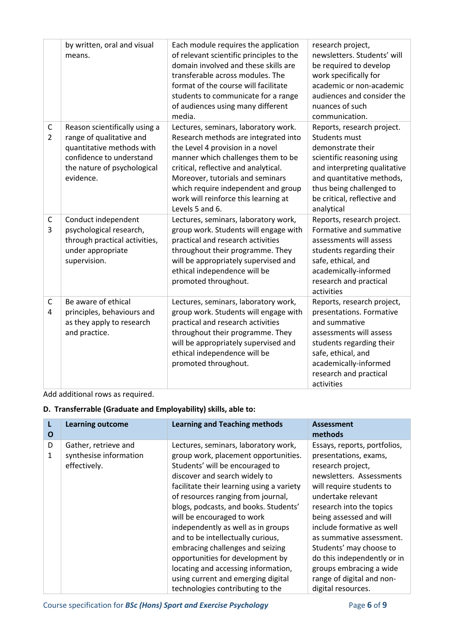|                               | by written, oral and visual<br>means.                                                                                                                          | Each module requires the application<br>of relevant scientific principles to the<br>domain involved and these skills are<br>transferable across modules. The<br>format of the course will facilitate<br>students to communicate for a range<br>of audiences using many different<br>media.                                           | research project,<br>newsletters. Students' will<br>be required to develop<br>work specifically for<br>academic or non-academic<br>audiences and consider the<br>nuances of such<br>communication.                                          |
|-------------------------------|----------------------------------------------------------------------------------------------------------------------------------------------------------------|--------------------------------------------------------------------------------------------------------------------------------------------------------------------------------------------------------------------------------------------------------------------------------------------------------------------------------------|---------------------------------------------------------------------------------------------------------------------------------------------------------------------------------------------------------------------------------------------|
| $\mathsf C$<br>$\overline{2}$ | Reason scientifically using a<br>range of qualitative and<br>quantitative methods with<br>confidence to understand<br>the nature of psychological<br>evidence. | Lectures, seminars, laboratory work.<br>Research methods are integrated into<br>the Level 4 provision in a novel<br>manner which challenges them to be<br>critical, reflective and analytical.<br>Moreover, tutorials and seminars<br>which require independent and group<br>work will reinforce this learning at<br>Levels 5 and 6. | Reports, research project.<br><b>Students must</b><br>demonstrate their<br>scientific reasoning using<br>and interpreting qualitative<br>and quantitative methods,<br>thus being challenged to<br>be critical, reflective and<br>analytical |
| $\mathsf C$<br>3              | Conduct independent<br>psychological research,<br>through practical activities,<br>under appropriate<br>supervision.                                           | Lectures, seminars, laboratory work,<br>group work. Students will engage with<br>practical and research activities<br>throughout their programme. They<br>will be appropriately supervised and<br>ethical independence will be<br>promoted throughout.                                                                               | Reports, research project.<br>Formative and summative<br>assessments will assess<br>students regarding their<br>safe, ethical, and<br>academically-informed<br>research and practical<br>activities                                         |
| $\mathsf{C}$<br>4             | Be aware of ethical<br>principles, behaviours and<br>as they apply to research<br>and practice.                                                                | Lectures, seminars, laboratory work,<br>group work. Students will engage with<br>practical and research activities<br>throughout their programme. They<br>will be appropriately supervised and<br>ethical independence will be<br>promoted throughout.                                                                               | Reports, research project,<br>presentations. Formative<br>and summative<br>assessments will assess<br>students regarding their<br>safe, ethical, and<br>academically-informed<br>research and practical<br>activities                       |

#### Add additional rows as required.

#### **D. Transferrable (Graduate and Employability) skills, able to:**

| L<br>O | <b>Learning outcome</b>                                        | <b>Learning and Teaching methods</b>                                                                                                                                                                                                                                                                                                                                                                                                                                                                                                                                           | <b>Assessment</b><br>methods                                                                                                                                                                                                                                                                                                                                                                                     |
|--------|----------------------------------------------------------------|--------------------------------------------------------------------------------------------------------------------------------------------------------------------------------------------------------------------------------------------------------------------------------------------------------------------------------------------------------------------------------------------------------------------------------------------------------------------------------------------------------------------------------------------------------------------------------|------------------------------------------------------------------------------------------------------------------------------------------------------------------------------------------------------------------------------------------------------------------------------------------------------------------------------------------------------------------------------------------------------------------|
| D<br>1 | Gather, retrieve and<br>synthesise information<br>effectively. | Lectures, seminars, laboratory work,<br>group work, placement opportunities.<br>Students' will be encouraged to<br>discover and search widely to<br>facilitate their learning using a variety<br>of resources ranging from journal,<br>blogs, podcasts, and books. Students'<br>will be encouraged to work<br>independently as well as in groups<br>and to be intellectually curious,<br>embracing challenges and seizing<br>opportunities for development by<br>locating and accessing information,<br>using current and emerging digital<br>technologies contributing to the | Essays, reports, portfolios,<br>presentations, exams,<br>research project,<br>newsletters. Assessments<br>will require students to<br>undertake relevant<br>research into the topics<br>being assessed and will<br>include formative as well<br>as summative assessment.<br>Students' may choose to<br>do this independently or in<br>groups embracing a wide<br>range of digital and non-<br>digital resources. |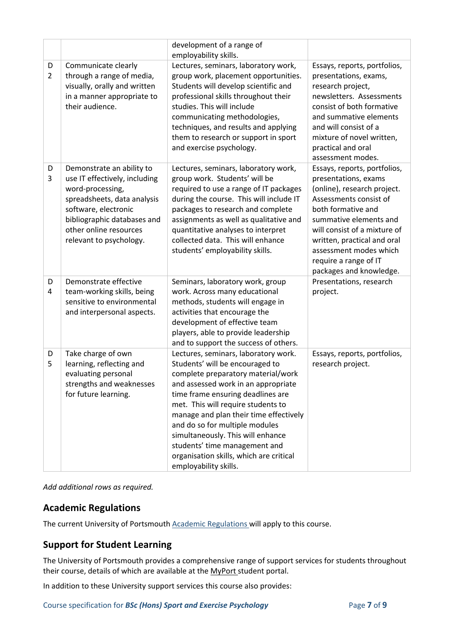|                     |                                                                                                                                                                                                                           | development of a range of<br>employability skills.                                                                                                                                                                                                                                                                                                                                                                                                    |                                                                                                                                                                                                                                                                                                            |
|---------------------|---------------------------------------------------------------------------------------------------------------------------------------------------------------------------------------------------------------------------|-------------------------------------------------------------------------------------------------------------------------------------------------------------------------------------------------------------------------------------------------------------------------------------------------------------------------------------------------------------------------------------------------------------------------------------------------------|------------------------------------------------------------------------------------------------------------------------------------------------------------------------------------------------------------------------------------------------------------------------------------------------------------|
| D<br>$\overline{2}$ | Communicate clearly<br>through a range of media,<br>visually, orally and written<br>in a manner appropriate to<br>their audience.                                                                                         | Lectures, seminars, laboratory work,<br>group work, placement opportunities.<br>Students will develop scientific and<br>professional skills throughout their<br>studies. This will include<br>communicating methodologies,<br>techniques, and results and applying<br>them to research or support in sport<br>and exercise psychology.                                                                                                                | Essays, reports, portfolios,<br>presentations, exams,<br>research project,<br>newsletters. Assessments<br>consist of both formative<br>and summative elements<br>and will consist of a<br>mixture of novel written,<br>practical and oral<br>assessment modes.                                             |
| D<br>3              | Demonstrate an ability to<br>use IT effectively, including<br>word-processing,<br>spreadsheets, data analysis<br>software, electronic<br>bibliographic databases and<br>other online resources<br>relevant to psychology. | Lectures, seminars, laboratory work,<br>group work. Students' will be<br>required to use a range of IT packages<br>during the course. This will include IT<br>packages to research and complete<br>assignments as well as qualitative and<br>quantitative analyses to interpret<br>collected data. This will enhance<br>students' employability skills.                                                                                               | Essays, reports, portfolios,<br>presentations, exams<br>(online), research project.<br>Assessments consist of<br>both formative and<br>summative elements and<br>will consist of a mixture of<br>written, practical and oral<br>assessment modes which<br>require a range of IT<br>packages and knowledge. |
| D<br>4              | Demonstrate effective<br>team-working skills, being<br>sensitive to environmental<br>and interpersonal aspects.                                                                                                           | Seminars, laboratory work, group<br>work. Across many educational<br>methods, students will engage in<br>activities that encourage the<br>development of effective team<br>players, able to provide leadership<br>and to support the success of others.                                                                                                                                                                                               | Presentations, research<br>project.                                                                                                                                                                                                                                                                        |
| D<br>5              | Take charge of own<br>learning, reflecting and<br>evaluating personal<br>strengths and weaknesses<br>for future learning.                                                                                                 | Lectures, seminars, laboratory work.<br>Students' will be encouraged to<br>complete preparatory material/work<br>and assessed work in an appropriate<br>time frame ensuring deadlines are<br>met. This will require students to<br>manage and plan their time effectively<br>and do so for multiple modules<br>simultaneously. This will enhance<br>students' time management and<br>organisation skills, which are critical<br>employability skills. | Essays, reports, portfolios,<br>research project.                                                                                                                                                                                                                                                          |

*Add additional rows as required.*

#### **Academic Regulations**

The current University of Portsmouth [Academic Regulations](https://policies.docstore.port.ac.uk/policy-107.pdf?_ga=2.115099791.988573471.1600698712-86764541.1593710288) will apply to this course.

## **Support for Student Learning**

The University of Portsmouth provides a comprehensive range of support services for students throughout their course, details of which are available at the [MyPort](http://myport.ac.uk/) student portal.

In addition to these University support services this course also provides: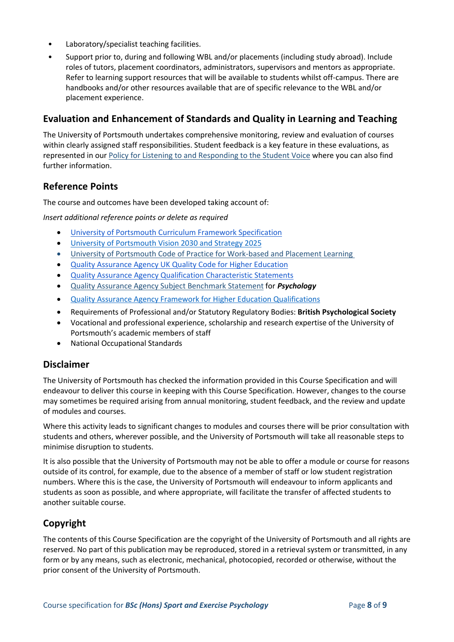- Laboratory/specialist teaching facilities.
- Support prior to, during and following WBL and/or placements (including study abroad). Include roles of tutors, placement coordinators, administrators, supervisors and mentors as appropriate. Refer to learning support resources that will be available to students whilst off-campus. There are handbooks and/or other resources available that are of specific relevance to the WBL and/or placement experience.

#### **Evaluation and Enhancement of Standards and Quality in Learning and Teaching**

The University of Portsmouth undertakes comprehensive monitoring, review and evaluation of courses within clearly assigned staff responsibilities. Student feedback is a key feature in these evaluations, as represented in our [Policy for Listening to and Responding to the Student Voice](http://policies.docstore.port.ac.uk/policy-069.pdf) where you can also find further information.

#### **Reference Points**

The course and outcomes have been developed taking account of:

*Insert additional reference points or delete as required*

- [University of Portsmouth Curriculum Framework Specification](http://policies.docstore.port.ac.uk/policy-217.pdf?_ga=2.80596127.988573471.1600698712-86764541.1593710288)
- [University of Portsmouth Vision 2030 and Strategy 2025](https://www.port.ac.uk/about-us/our-ambition/our-strategy)
- [University of Portsmouth Code of Practice for Work-based and Placement Learning](http://policies.docstore.port.ac.uk/policy-151.pdf)
- [Quality Assurance Agency UK Quality Code for Higher Education](https://www.qaa.ac.uk/quality-code)
- [Quality Assurance Agency Qualification Characteristic Statements](https://www.qaa.ac.uk/quality-code/characteristics-statements)
- [Quality Assurance Agency Subject Benchmark Statement](https://www.qaa.ac.uk/docs/qaa/subject-benchmark-statements/subject-benchmark-statement-psychology.pdf?sfvrsn=6935c881_15) for *Psychology*
- [Quality Assurance Agency Framework for Higher Education Qualifications](https://www.qaa.ac.uk/en/quality-code/qualifications-and-credit-frameworks)
- Requirements of Professional and/or Statutory Regulatory Bodies: **British Psychological Society**
- Vocational and professional experience, scholarship and research expertise of the University of Portsmouth's academic members of staff
- National Occupational Standards

#### **Disclaimer**

The University of Portsmouth has checked the information provided in this Course Specification and will endeavour to deliver this course in keeping with this Course Specification. However, changes to the course may sometimes be required arising from annual monitoring, student feedback, and the review and update of modules and courses.

Where this activity leads to significant changes to modules and courses there will be prior consultation with students and others, wherever possible, and the University of Portsmouth will take all reasonable steps to minimise disruption to students.

It is also possible that the University of Portsmouth may not be able to offer a module or course for reasons outside of its control, for example, due to the absence of a member of staff or low student registration numbers. Where this is the case, the University of Portsmouth will endeavour to inform applicants and students as soon as possible, and where appropriate, will facilitate the transfer of affected students to another suitable course.

#### **Copyright**

The contents of this Course Specification are the copyright of the University of Portsmouth and all rights are reserved. No part of this publication may be reproduced, stored in a retrieval system or transmitted, in any form or by any means, such as electronic, mechanical, photocopied, recorded or otherwise, without the prior consent of the University of Portsmouth.